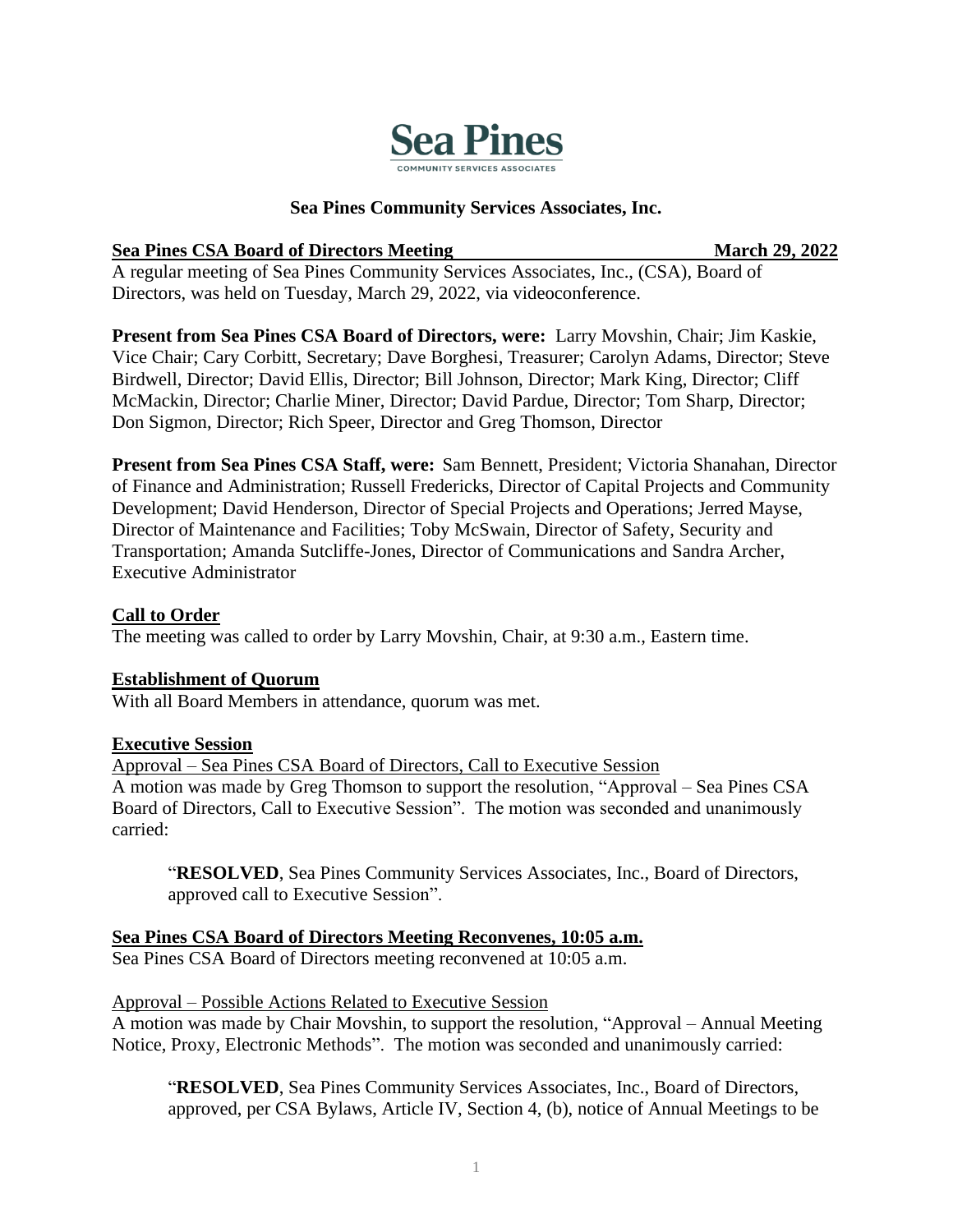

## **Sea Pines Community Services Associates, Inc.**

## **Sea Pines CSA Board of Directors Meeting March 29, 2022**

A regular meeting of Sea Pines Community Services Associates, Inc., (CSA), Board of Directors, was held on Tuesday, March 29, 2022, via videoconference.

**Present from Sea Pines CSA Board of Directors, were:** Larry Movshin, Chair; Jim Kaskie, Vice Chair; Cary Corbitt, Secretary; Dave Borghesi, Treasurer; Carolyn Adams, Director; Steve Birdwell, Director; David Ellis, Director; Bill Johnson, Director; Mark King, Director; Cliff McMackin, Director; Charlie Miner, Director; David Pardue, Director; Tom Sharp, Director; Don Sigmon, Director; Rich Speer, Director and Greg Thomson, Director

**Present from Sea Pines CSA Staff, were:** Sam Bennett, President; Victoria Shanahan, Director of Finance and Administration; Russell Fredericks, Director of Capital Projects and Community Development; David Henderson, Director of Special Projects and Operations; Jerred Mayse, Director of Maintenance and Facilities; Toby McSwain, Director of Safety, Security and Transportation; Amanda Sutcliffe-Jones, Director of Communications and Sandra Archer, Executive Administrator

## **Call to Order**

The meeting was called to order by Larry Movshin, Chair, at 9:30 a.m., Eastern time.

## **Establishment of Quorum**

With all Board Members in attendance, quorum was met.

## **Executive Session**

Approval – Sea Pines CSA Board of Directors, Call to Executive Session A motion was made by Greg Thomson to support the resolution, "Approval – Sea Pines CSA Board of Directors, Call to Executive Session". The motion was seconded and unanimously carried:

"**RESOLVED**, Sea Pines Community Services Associates, Inc., Board of Directors, approved call to Executive Session".

**Sea Pines CSA Board of Directors Meeting Reconvenes, 10:05 a.m.**

Sea Pines CSA Board of Directors meeting reconvened at 10:05 a.m.

# Approval – Possible Actions Related to Executive Session

A motion was made by Chair Movshin, to support the resolution, "Approval – Annual Meeting Notice, Proxy, Electronic Methods". The motion was seconded and unanimously carried:

"**RESOLVED**, Sea Pines Community Services Associates, Inc., Board of Directors, approved, per CSA Bylaws, Article IV, Section 4, (b), notice of Annual Meetings to be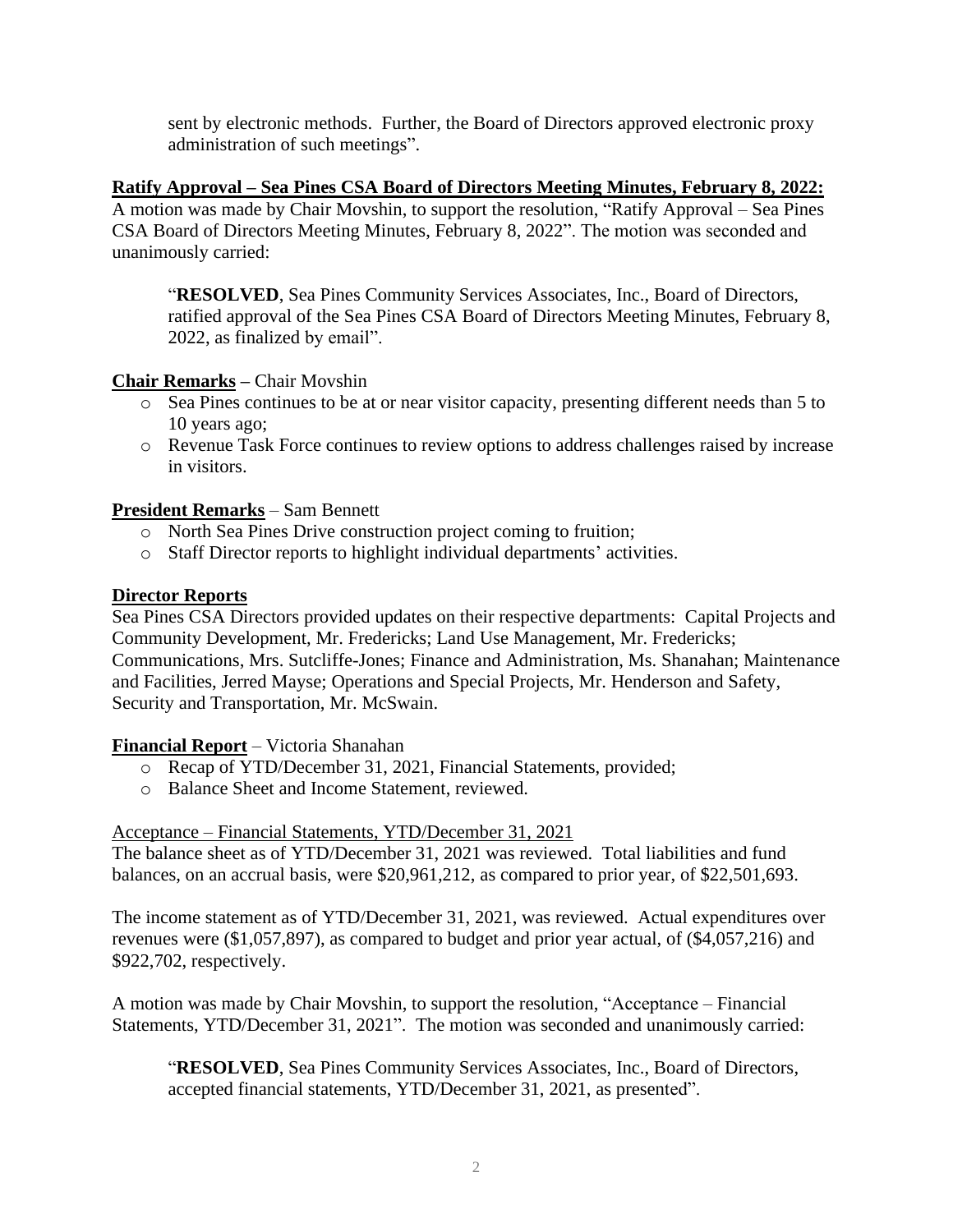sent by electronic methods. Further, the Board of Directors approved electronic proxy administration of such meetings".

## **Ratify Approval – Sea Pines CSA Board of Directors Meeting Minutes, February 8, 2022:**

A motion was made by Chair Movshin, to support the resolution, "Ratify Approval – Sea Pines CSA Board of Directors Meeting Minutes, February 8, 2022". The motion was seconded and unanimously carried:

"**RESOLVED**, Sea Pines Community Services Associates, Inc., Board of Directors, ratified approval of the Sea Pines CSA Board of Directors Meeting Minutes, February 8, 2022, as finalized by email".

# **Chair Remarks –** Chair Movshin

- o Sea Pines continues to be at or near visitor capacity, presenting different needs than 5 to 10 years ago;
- o Revenue Task Force continues to review options to address challenges raised by increase in visitors.

## **President Remarks** – Sam Bennett

- o North Sea Pines Drive construction project coming to fruition;
- o Staff Director reports to highlight individual departments' activities.

## **Director Reports**

Sea Pines CSA Directors provided updates on their respective departments: Capital Projects and Community Development, Mr. Fredericks; Land Use Management, Mr. Fredericks; Communications, Mrs. Sutcliffe-Jones; Finance and Administration, Ms. Shanahan; Maintenance and Facilities, Jerred Mayse; Operations and Special Projects, Mr. Henderson and Safety, Security and Transportation, Mr. McSwain.

**Financial Report** – Victoria Shanahan

- o Recap of YTD/December 31, 2021, Financial Statements, provided;
- o Balance Sheet and Income Statement, reviewed.

## Acceptance – Financial Statements, YTD/December 31, 2021

The balance sheet as of YTD/December 31, 2021 was reviewed. Total liabilities and fund balances, on an accrual basis, were \$20,961,212, as compared to prior year, of \$22,501,693.

The income statement as of YTD/December 31, 2021, was reviewed. Actual expenditures over revenues were (\$1,057,897), as compared to budget and prior year actual, of (\$4,057,216) and \$922,702, respectively.

A motion was made by Chair Movshin, to support the resolution, "Acceptance – Financial Statements, YTD/December 31, 2021". The motion was seconded and unanimously carried:

"**RESOLVED**, Sea Pines Community Services Associates, Inc., Board of Directors, accepted financial statements, YTD/December 31, 2021, as presented".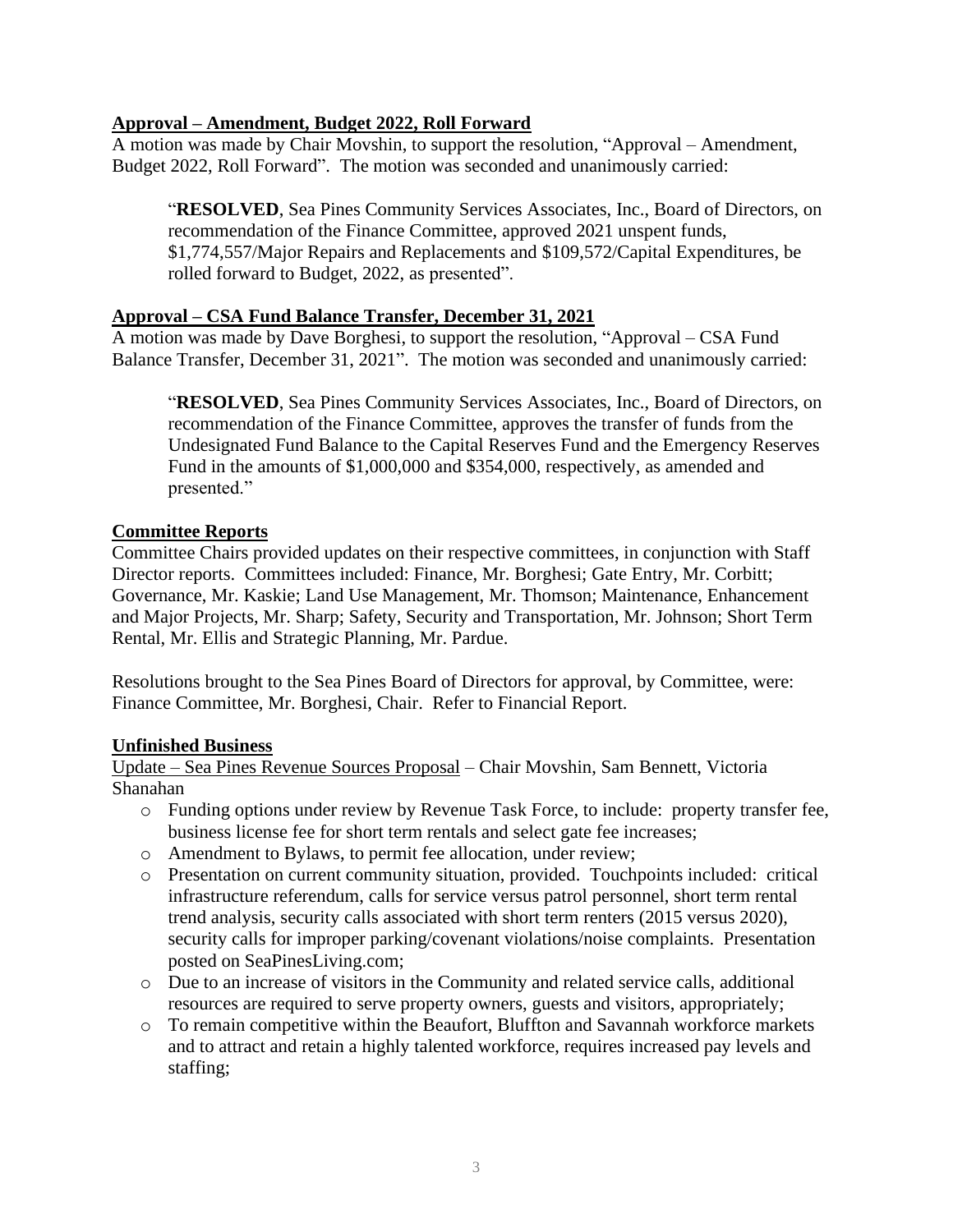## **Approval – Amendment, Budget 2022, Roll Forward**

A motion was made by Chair Movshin, to support the resolution, "Approval – Amendment, Budget 2022, Roll Forward". The motion was seconded and unanimously carried:

"**RESOLVED**, Sea Pines Community Services Associates, Inc., Board of Directors, on recommendation of the Finance Committee, approved 2021 unspent funds, \$1,774,557/Major Repairs and Replacements and \$109,572/Capital Expenditures, be rolled forward to Budget, 2022, as presented".

## **Approval – CSA Fund Balance Transfer, December 31, 2021**

A motion was made by Dave Borghesi, to support the resolution, "Approval – CSA Fund Balance Transfer, December 31, 2021". The motion was seconded and unanimously carried:

"**RESOLVED**, Sea Pines Community Services Associates, Inc., Board of Directors, on recommendation of the Finance Committee, approves the transfer of funds from the Undesignated Fund Balance to the Capital Reserves Fund and the Emergency Reserves Fund in the amounts of \$1,000,000 and \$354,000, respectively, as amended and presented."

## **Committee Reports**

Committee Chairs provided updates on their respective committees, in conjunction with Staff Director reports. Committees included: Finance, Mr. Borghesi; Gate Entry, Mr. Corbitt; Governance, Mr. Kaskie; Land Use Management, Mr. Thomson; Maintenance, Enhancement and Major Projects, Mr. Sharp; Safety, Security and Transportation, Mr. Johnson; Short Term Rental, Mr. Ellis and Strategic Planning, Mr. Pardue.

Resolutions brought to the Sea Pines Board of Directors for approval, by Committee, were: Finance Committee, Mr. Borghesi, Chair. Refer to Financial Report.

## **Unfinished Business**

Update – Sea Pines Revenue Sources Proposal – Chair Movshin, Sam Bennett, Victoria Shanahan

- o Funding options under review by Revenue Task Force, to include: property transfer fee, business license fee for short term rentals and select gate fee increases;
- o Amendment to Bylaws, to permit fee allocation, under review;
- o Presentation on current community situation, provided. Touchpoints included: critical infrastructure referendum, calls for service versus patrol personnel, short term rental trend analysis, security calls associated with short term renters (2015 versus 2020), security calls for improper parking/covenant violations/noise complaints. Presentation posted on SeaPinesLiving.com;
- o Due to an increase of visitors in the Community and related service calls, additional resources are required to serve property owners, guests and visitors, appropriately;
- o To remain competitive within the Beaufort, Bluffton and Savannah workforce markets and to attract and retain a highly talented workforce, requires increased pay levels and staffing;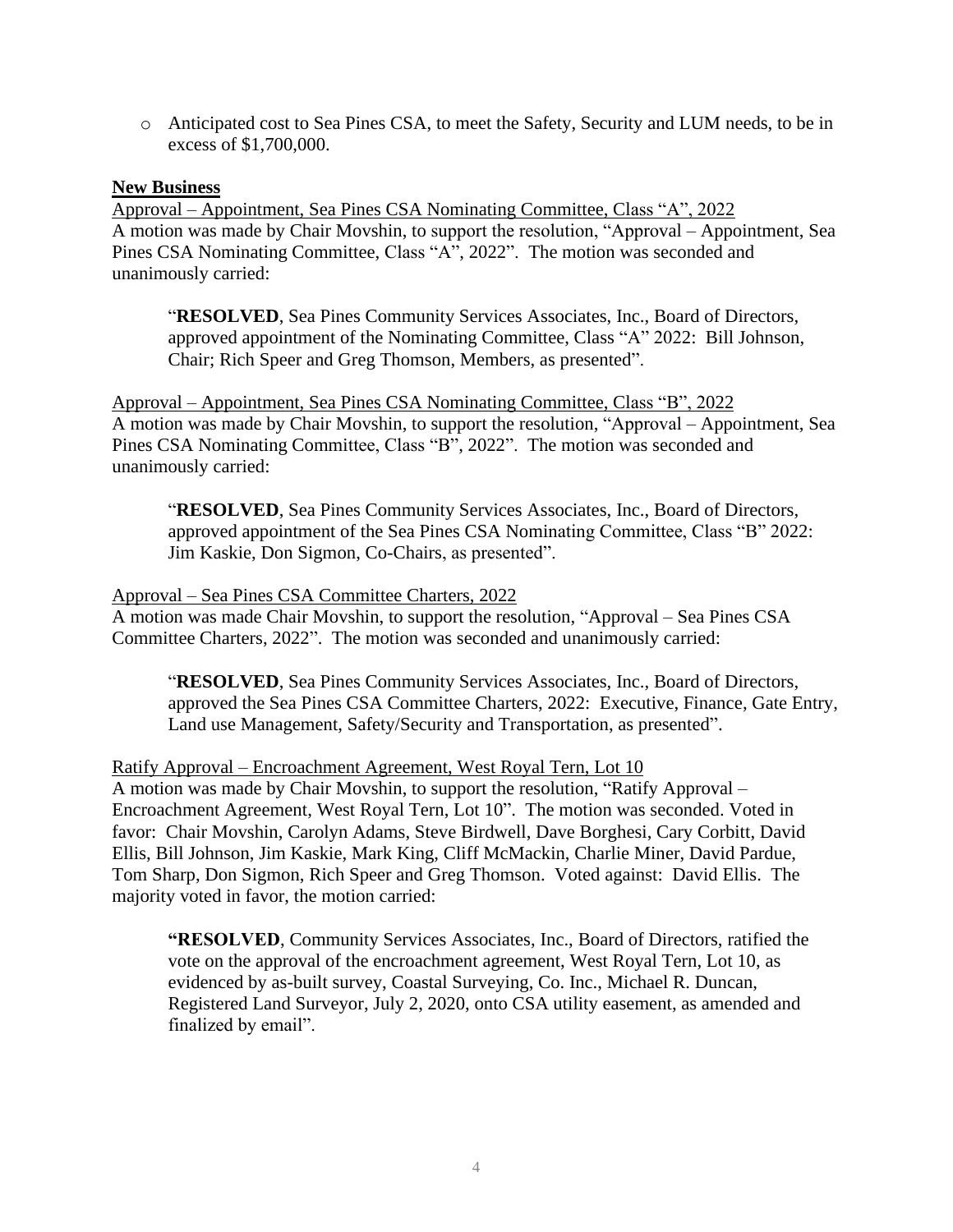o Anticipated cost to Sea Pines CSA, to meet the Safety, Security and LUM needs, to be in excess of \$1,700,000.

#### **New Business**

Approval – Appointment, Sea Pines CSA Nominating Committee, Class "A", 2022 A motion was made by Chair Movshin, to support the resolution, "Approval – Appointment, Sea Pines CSA Nominating Committee, Class "A", 2022". The motion was seconded and unanimously carried:

"**RESOLVED**, Sea Pines Community Services Associates, Inc., Board of Directors, approved appointment of the Nominating Committee, Class "A" 2022: Bill Johnson, Chair; Rich Speer and Greg Thomson, Members, as presented".

Approval – Appointment, Sea Pines CSA Nominating Committee, Class "B", 2022 A motion was made by Chair Movshin, to support the resolution, "Approval – Appointment, Sea Pines CSA Nominating Committee, Class "B", 2022". The motion was seconded and unanimously carried:

"**RESOLVED**, Sea Pines Community Services Associates, Inc., Board of Directors, approved appointment of the Sea Pines CSA Nominating Committee, Class "B" 2022: Jim Kaskie, Don Sigmon, Co-Chairs, as presented".

#### Approval – Sea Pines CSA Committee Charters, 2022

A motion was made Chair Movshin, to support the resolution, "Approval – Sea Pines CSA Committee Charters, 2022". The motion was seconded and unanimously carried:

"**RESOLVED**, Sea Pines Community Services Associates, Inc., Board of Directors, approved the Sea Pines CSA Committee Charters, 2022: Executive, Finance, Gate Entry, Land use Management, Safety/Security and Transportation, as presented".

#### Ratify Approval – Encroachment Agreement, West Royal Tern, Lot 10

A motion was made by Chair Movshin, to support the resolution, "Ratify Approval – Encroachment Agreement, West Royal Tern, Lot 10". The motion was seconded. Voted in favor: Chair Movshin, Carolyn Adams, Steve Birdwell, Dave Borghesi, Cary Corbitt, David Ellis, Bill Johnson, Jim Kaskie, Mark King, Cliff McMackin, Charlie Miner, David Pardue, Tom Sharp, Don Sigmon, Rich Speer and Greg Thomson. Voted against: David Ellis. The majority voted in favor, the motion carried:

**"RESOLVED**, Community Services Associates, Inc., Board of Directors, ratified the vote on the approval of the encroachment agreement, West Royal Tern, Lot 10, as evidenced by as-built survey, Coastal Surveying, Co. Inc., Michael R. Duncan, Registered Land Surveyor, July 2, 2020, onto CSA utility easement, as amended and finalized by email".